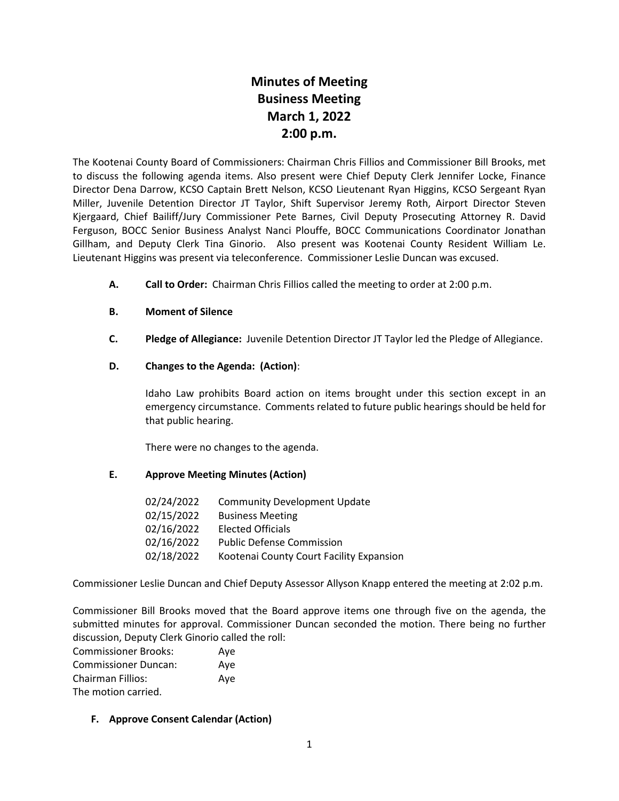# **Minutes of Meeting Business Meeting March 1, 2022 2:00 p.m.**

The Kootenai County Board of Commissioners: Chairman Chris Fillios and Commissioner Bill Brooks, met to discuss the following agenda items. Also present were Chief Deputy Clerk Jennifer Locke, Finance Director Dena Darrow, KCSO Captain Brett Nelson, KCSO Lieutenant Ryan Higgins, KCSO Sergeant Ryan Miller, Juvenile Detention Director JT Taylor, Shift Supervisor Jeremy Roth, Airport Director Steven Kjergaard, Chief Bailiff/Jury Commissioner Pete Barnes, Civil Deputy Prosecuting Attorney R. David Ferguson, BOCC Senior Business Analyst Nanci Plouffe, BOCC Communications Coordinator Jonathan Gillham, and Deputy Clerk Tina Ginorio. Also present was Kootenai County Resident William Le. Lieutenant Higgins was present via teleconference. Commissioner Leslie Duncan was excused.

**A. Call to Order:** Chairman Chris Fillios called the meeting to order at 2:00 p.m.

### **B. Moment of Silence**

**C. Pledge of Allegiance:** Juvenile Detention Director JT Taylor led the Pledge of Allegiance.

### **D. Changes to the Agenda: (Action)**:

Idaho Law prohibits Board action on items brought under this section except in an emergency circumstance. Comments related to future public hearings should be held for that public hearing.

There were no changes to the agenda.

### **E. Approve Meeting Minutes (Action)**

| 02/24/2022 | <b>Community Development Update</b>      |
|------------|------------------------------------------|
| 02/15/2022 | <b>Business Meeting</b>                  |
| 02/16/2022 | <b>Elected Officials</b>                 |
| 02/16/2022 | <b>Public Defense Commission</b>         |
| 02/18/2022 | Kootenai County Court Facility Expansion |

Commissioner Leslie Duncan and Chief Deputy Assessor Allyson Knapp entered the meeting at 2:02 p.m.

Commissioner Bill Brooks moved that the Board approve items one through five on the agenda, the submitted minutes for approval. Commissioner Duncan seconded the motion. There being no further discussion, Deputy Clerk Ginorio called the roll:

| <b>Commissioner Brooks:</b> | Aye |
|-----------------------------|-----|
| <b>Commissioner Duncan:</b> | Aye |
| <b>Chairman Fillios:</b>    | Aye |
| The motion carried.         |     |

### **F. Approve Consent Calendar (Action)**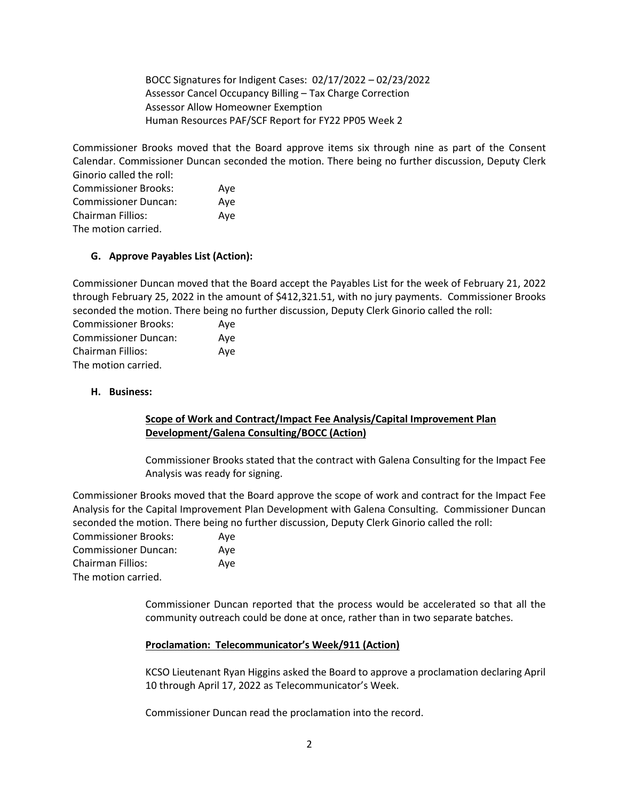BOCC Signatures for Indigent Cases: 02/17/2022 – 02/23/2022 Assessor Cancel Occupancy Billing – Tax Charge Correction Assessor Allow Homeowner Exemption Human Resources PAF/SCF Report for FY22 PP05 Week 2

Commissioner Brooks moved that the Board approve items six through nine as part of the Consent Calendar. Commissioner Duncan seconded the motion. There being no further discussion, Deputy Clerk Ginorio called the roll:

Commissioner Brooks: Aye Commissioner Duncan: Aye Chairman Fillios: Aye The motion carried.

### **G. Approve Payables List (Action):**

Commissioner Duncan moved that the Board accept the Payables List for the week of February 21, 2022 through February 25, 2022 in the amount of \$412,321.51, with no jury payments. Commissioner Brooks seconded the motion. There being no further discussion, Deputy Clerk Ginorio called the roll:

| <b>Commissioner Brooks:</b> | Aye |
|-----------------------------|-----|
| <b>Commissioner Duncan:</b> | Ave |
| Chairman Fillios:           | Ave |
| The motion carried.         |     |

### **H. Business:**

### **Scope of Work and Contract/Impact Fee Analysis/Capital Improvement Plan Development/Galena Consulting/BOCC (Action)**

Commissioner Brooks stated that the contract with Galena Consulting for the Impact Fee Analysis was ready for signing.

Commissioner Brooks moved that the Board approve the scope of work and contract for the Impact Fee Analysis for the Capital Improvement Plan Development with Galena Consulting. Commissioner Duncan seconded the motion. There being no further discussion, Deputy Clerk Ginorio called the roll:

| Commissioner Brooks:        | Aye |
|-----------------------------|-----|
| <b>Commissioner Duncan:</b> | Ave |
| <b>Chairman Fillios:</b>    | Ave |
| The motion carried.         |     |

Commissioner Duncan reported that the process would be accelerated so that all the community outreach could be done at once, rather than in two separate batches.

### **Proclamation: Telecommunicator's Week/911 (Action)**

KCSO Lieutenant Ryan Higgins asked the Board to approve a proclamation declaring April 10 through April 17, 2022 as Telecommunicator's Week.

Commissioner Duncan read the proclamation into the record.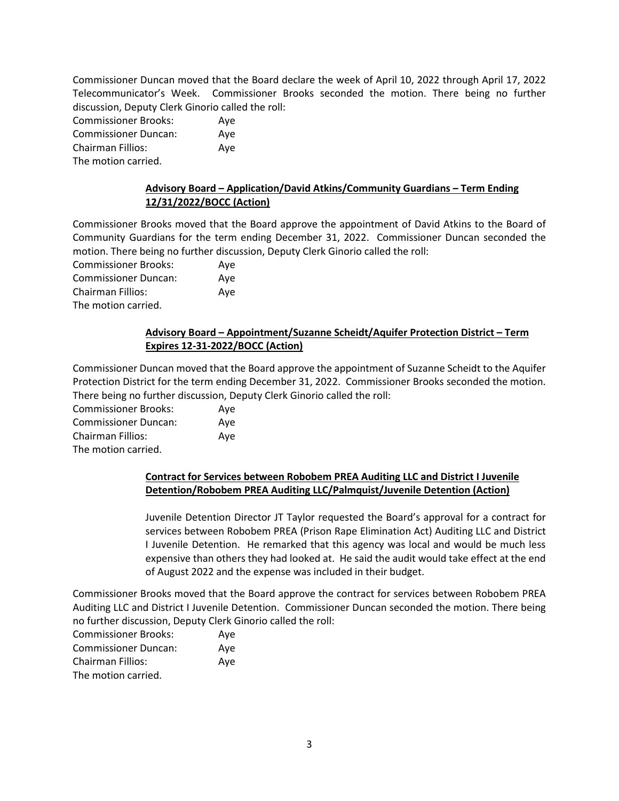Commissioner Duncan moved that the Board declare the week of April 10, 2022 through April 17, 2022 Telecommunicator's Week. Commissioner Brooks seconded the motion. There being no further discussion, Deputy Clerk Ginorio called the roll:

| <b>Commissioner Brooks:</b> | Aye |
|-----------------------------|-----|
| <b>Commissioner Duncan:</b> | Ave |
| <b>Chairman Fillios:</b>    | Aye |
| The motion carried.         |     |

### **Advisory Board – Application/David Atkins/Community Guardians – Term Ending 12/31/2022/BOCC (Action)**

Commissioner Brooks moved that the Board approve the appointment of David Atkins to the Board of Community Guardians for the term ending December 31, 2022. Commissioner Duncan seconded the motion. There being no further discussion, Deputy Clerk Ginorio called the roll:

Commissioner Brooks: Aye Commissioner Duncan: Aye Chairman Fillios: Aye The motion carried.

# **Advisory Board – Appointment/Suzanne Scheidt/Aquifer Protection District – Term Expires 12-31-2022/BOCC (Action)**

Commissioner Duncan moved that the Board approve the appointment of Suzanne Scheidt to the Aquifer Protection District for the term ending December 31, 2022. Commissioner Brooks seconded the motion. There being no further discussion, Deputy Clerk Ginorio called the roll:

Commissioner Brooks: Aye Commissioner Duncan: Aye Chairman Fillios: Aye The motion carried.

### **Contract for Services between Robobem PREA Auditing LLC and District I Juvenile Detention/Robobem PREA Auditing LLC/Palmquist/Juvenile Detention (Action)**

Juvenile Detention Director JT Taylor requested the Board's approval for a contract for services between Robobem PREA (Prison Rape Elimination Act) Auditing LLC and District I Juvenile Detention. He remarked that this agency was local and would be much less expensive than others they had looked at. He said the audit would take effect at the end of August 2022 and the expense was included in their budget.

Commissioner Brooks moved that the Board approve the contract for services between Robobem PREA Auditing LLC and District I Juvenile Detention. Commissioner Duncan seconded the motion. There being no further discussion, Deputy Clerk Ginorio called the roll:

| <b>Commissioner Brooks:</b> | Ave |
|-----------------------------|-----|
| <b>Commissioner Duncan:</b> | Ave |
| Chairman Fillios:           | Ave |
| The motion carried.         |     |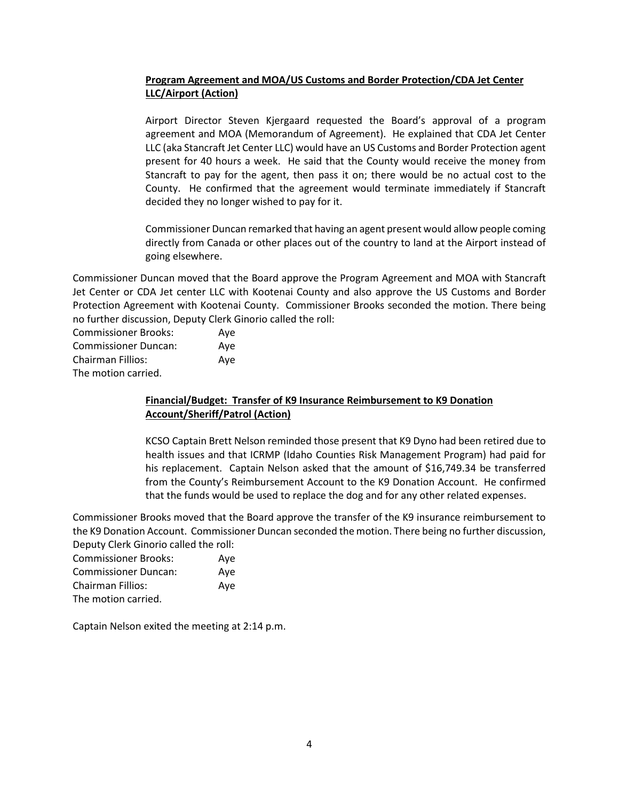# **Program Agreement and MOA/US Customs and Border Protection/CDA Jet Center LLC/Airport (Action)**

Airport Director Steven Kjergaard requested the Board's approval of a program agreement and MOA (Memorandum of Agreement). He explained that CDA Jet Center LLC (aka Stancraft Jet Center LLC) would have an US Customs and Border Protection agent present for 40 hours a week. He said that the County would receive the money from Stancraft to pay for the agent, then pass it on; there would be no actual cost to the County. He confirmed that the agreement would terminate immediately if Stancraft decided they no longer wished to pay for it.

Commissioner Duncan remarked that having an agent present would allow people coming directly from Canada or other places out of the country to land at the Airport instead of going elsewhere.

Commissioner Duncan moved that the Board approve the Program Agreement and MOA with Stancraft Jet Center or CDA Jet center LLC with Kootenai County and also approve the US Customs and Border Protection Agreement with Kootenai County. Commissioner Brooks seconded the motion. There being no further discussion, Deputy Clerk Ginorio called the roll:

| <b>Commissioner Brooks:</b> | Aye |
|-----------------------------|-----|
| <b>Commissioner Duncan:</b> | Ave |
| <b>Chairman Fillios:</b>    | Aye |
| The motion carried.         |     |

# **Financial/Budget: Transfer of K9 Insurance Reimbursement to K9 Donation Account/Sheriff/Patrol (Action)**

KCSO Captain Brett Nelson reminded those present that K9 Dyno had been retired due to health issues and that ICRMP (Idaho Counties Risk Management Program) had paid for his replacement. Captain Nelson asked that the amount of \$16,749.34 be transferred from the County's Reimbursement Account to the K9 Donation Account. He confirmed that the funds would be used to replace the dog and for any other related expenses.

Commissioner Brooks moved that the Board approve the transfer of the K9 insurance reimbursement to the K9 Donation Account. Commissioner Duncan seconded the motion. There being no further discussion, Deputy Clerk Ginorio called the roll:

| <b>Commissioner Brooks:</b> | Aye |
|-----------------------------|-----|
| <b>Commissioner Duncan:</b> | Ave |
| <b>Chairman Fillios:</b>    | Ave |
| The motion carried.         |     |

Captain Nelson exited the meeting at 2:14 p.m.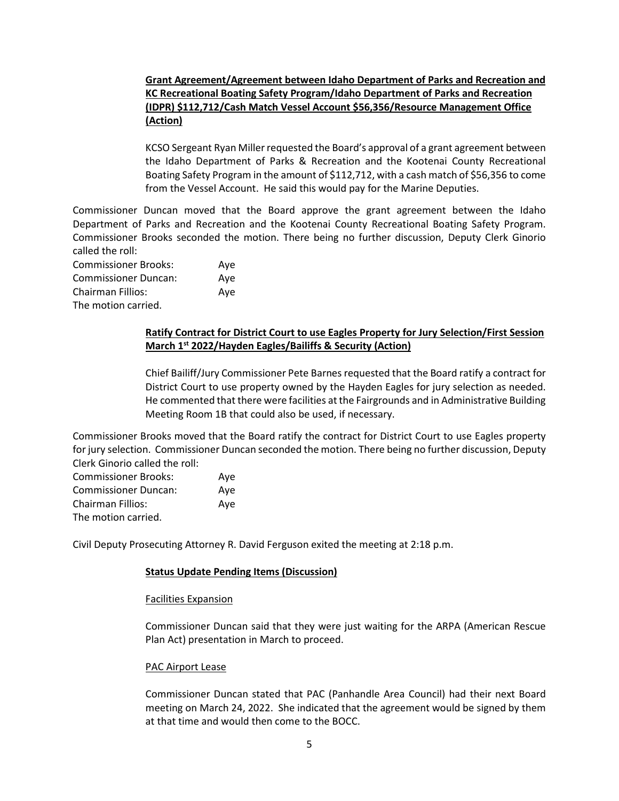# **Grant Agreement/Agreement between Idaho Department of Parks and Recreation and KC Recreational Boating Safety Program/Idaho Department of Parks and Recreation (IDPR) \$112,712/Cash Match Vessel Account \$56,356/Resource Management Office (Action)**

KCSO Sergeant Ryan Miller requested the Board's approval of a grant agreement between the Idaho Department of Parks & Recreation and the Kootenai County Recreational Boating Safety Program in the amount of \$112,712, with a cash match of \$56,356 to come from the Vessel Account. He said this would pay for the Marine Deputies.

Commissioner Duncan moved that the Board approve the grant agreement between the Idaho Department of Parks and Recreation and the Kootenai County Recreational Boating Safety Program. Commissioner Brooks seconded the motion. There being no further discussion, Deputy Clerk Ginorio called the roll:

| <b>Commissioner Brooks:</b> | Ave |
|-----------------------------|-----|
| <b>Commissioner Duncan:</b> | Ave |
| Chairman Fillios:           | Ave |
| The motion carried.         |     |

# **Ratify Contract for District Court to use Eagles Property for Jury Selection/First Session March 1st 2022/Hayden Eagles/Bailiffs & Security (Action)**

Chief Bailiff/Jury Commissioner Pete Barnes requested that the Board ratify a contract for District Court to use property owned by the Hayden Eagles for jury selection as needed. He commented that there were facilities at the Fairgrounds and in Administrative Building Meeting Room 1B that could also be used, if necessary.

Commissioner Brooks moved that the Board ratify the contract for District Court to use Eagles property for jury selection. Commissioner Duncan seconded the motion. There being no further discussion, Deputy Clerk Ginorio called the roll:

| <b>Commissioner Brooks:</b> | Aye |
|-----------------------------|-----|
| <b>Commissioner Duncan:</b> | Aye |
| <b>Chairman Fillios:</b>    | Aye |
| The motion carried.         |     |

Civil Deputy Prosecuting Attorney R. David Ferguson exited the meeting at 2:18 p.m.

### **Status Update Pending Items (Discussion)**

### Facilities Expansion

Commissioner Duncan said that they were just waiting for the ARPA (American Rescue Plan Act) presentation in March to proceed.

### PAC Airport Lease

Commissioner Duncan stated that PAC (Panhandle Area Council) had their next Board meeting on March 24, 2022. She indicated that the agreement would be signed by them at that time and would then come to the BOCC.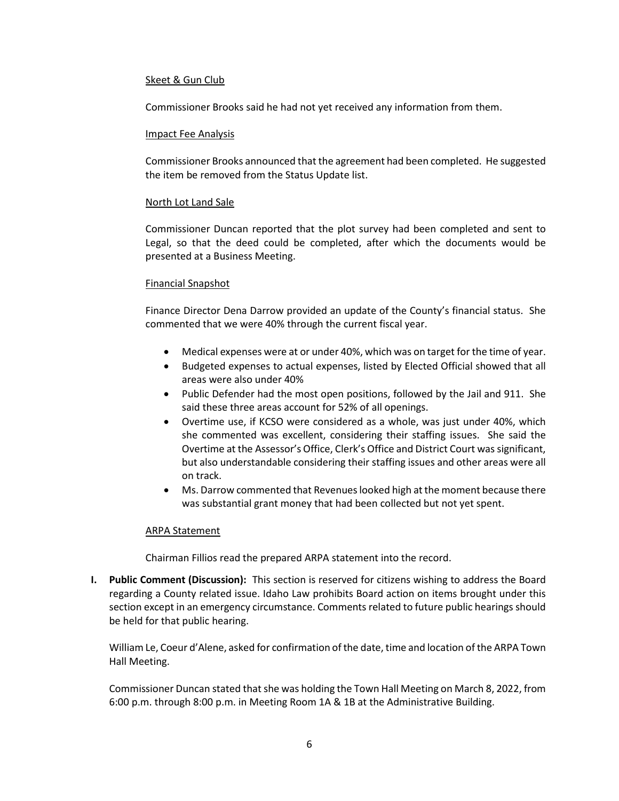#### Skeet & Gun Club

Commissioner Brooks said he had not yet received any information from them.

#### Impact Fee Analysis

Commissioner Brooks announced that the agreement had been completed. He suggested the item be removed from the Status Update list.

#### North Lot Land Sale

Commissioner Duncan reported that the plot survey had been completed and sent to Legal, so that the deed could be completed, after which the documents would be presented at a Business Meeting.

#### Financial Snapshot

Finance Director Dena Darrow provided an update of the County's financial status. She commented that we were 40% through the current fiscal year.

- Medical expenses were at or under 40%, which was on target for the time of year.
- Budgeted expenses to actual expenses, listed by Elected Official showed that all areas were also under 40%
- Public Defender had the most open positions, followed by the Jail and 911. She said these three areas account for 52% of all openings.
- Overtime use, if KCSO were considered as a whole, was just under 40%, which she commented was excellent, considering their staffing issues. She said the Overtime at the Assessor's Office, Clerk's Office and District Court was significant, but also understandable considering their staffing issues and other areas were all on track.
- Ms. Darrow commented that Revenues looked high at the moment because there was substantial grant money that had been collected but not yet spent.

### ARPA Statement

Chairman Fillios read the prepared ARPA statement into the record.

**I. Public Comment (Discussion):** This section is reserved for citizens wishing to address the Board regarding a County related issue. Idaho Law prohibits Board action on items brought under this section except in an emergency circumstance. Comments related to future public hearings should be held for that public hearing.

William Le, Coeur d'Alene, asked for confirmation of the date, time and location of the ARPA Town Hall Meeting.

Commissioner Duncan stated that she was holding the Town Hall Meeting on March 8, 2022, from 6:00 p.m. through 8:00 p.m. in Meeting Room 1A & 1B at the Administrative Building.